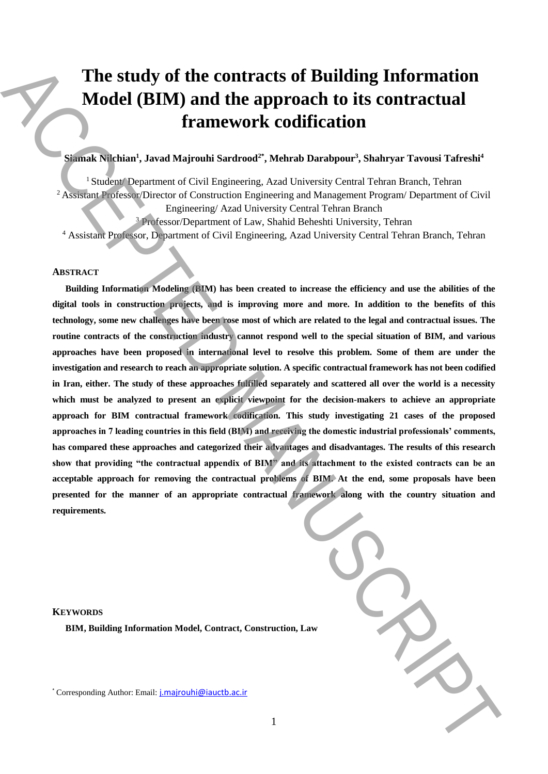# **The study of the contracts of Building Information Model (BIM) and the approach to its contractual framework codification**

# **Siamak Nilchian<sup>1</sup> , Javad Majrouhi Sardrood2\* , Mehrab Darabpour<sup>3</sup> , Shahryar Tavousi Tafreshi<sup>4</sup>**

<sup>1</sup> Student/ Department of Civil Engineering, Azad University Central Tehran Branch, Tehran <sup>2</sup> Assistant Professor/Director of Construction Engineering and Management Program/ Department of Civil Engineering/ Azad University Central Tehran Branch

<sup>3</sup> Professor/Department of Law, Shahid Beheshti University, Tehran

<sup>4</sup> Assistant Professor, Department of Civil Engineering, Azad University Central Tehran Branch, Tehran

#### **ABSTRACT**

**Building Information Modeling (BIM) has been created to increase the efficiency and use the abilities of the digital tools in construction projects, and is improving more and more. In addition to the benefits of this technology, some new challenges have been rose most of which are related to the legal and contractual issues. The routine contracts of the construction industry cannot respond well to the special situation of BIM, and various approaches have been proposed in international level to resolve this problem. Some of them are under the investigation and research to reach an appropriate solution. A specific contractual framework has not been codified in Iran, either. The study of these approaches fulfilled separately and scattered all over the world is a necessity which must be analyzed to present an explicit viewpoint for the decision-makers to achieve an appropriate approach for BIM contractual framework codification. This study investigating 21 cases of the proposed approaches in 7 leading countries in this field (BIM) and receiving the domestic industrial professionals' comments, has compared these approaches and categorized their advantages and disadvantages. The results of this research show that providing "the contractual appendix of BIM" and its attachment to the existed contracts can be an acceptable approach for removing the contractual problems of BIM. At the end, some proposals have been presented for the manner of an appropriate contractual framework along with the country situation and requirements.**  The study of the contracts of Building Information<br>  $\blacksquare$  framework codification<br>
framework codification<br>  $\blacksquare$ <br>
Authority contract the interaction of the approach to its contractual<br>  $\blacksquare$ <br>  $\blacksquare$ <br>  $\blacksquare$ <br>  $\blacksquare$ <br>  $\bl$ 

| $a\bar{w}$ |  |
|------------|--|
|            |  |

# **KEYWORDS**

**BIM, Building Information Model, Contract, Construction, Law**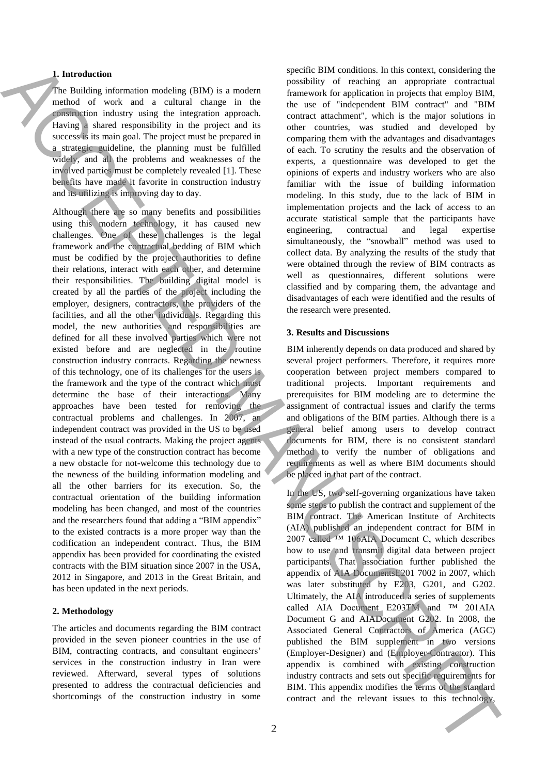# **1. Introduction**

The Building information modeling (BIM) is a modern method of work and a cultural change in the construction industry using the integration approach. Having a shared responsibility in the project and its success is its main goal. The project must be prepared in a strategic guideline, the planning must be fulfilled widely, and all the problems and weaknesses of the involved parties must be completely revealed [1]. These benefits have made it favorite in construction industry and its utilizing is improving day to day.

Although there are so many benefits and possibilities using this modern technology, it has caused new challenges. One of these challenges is the legal framework and the contractual bedding of BIM which must be codified by the project authorities to define their relations, interact with each other, and determine their responsibilities. The building digital model is created by all the parties of the project including the employer, designers, contractors, the providers of the facilities, and all the other individuals. Regarding this model, the new authorities and responsibilities are defined for all these involved parties which were not existed before and are neglected in the routine construction industry contracts. Regarding the newness of this technology, one of its challenges for the users is the framework and the type of the contract which must determine the base of their interactions. Many approaches have been tested for removing the contractual problems and challenges. In 2007, an independent contract was provided in the US to be used instead of the usual contracts. Making the project agents with a new type of the construction contract has become a new obstacle for not-welcome this technology due to the newness of the building information modeling and all the other barriers for its execution. So, the contractual orientation of the building information modeling has been changed, and most of the countries and the researchers found that adding a "BIM appendix" to the existed contracts is a more proper way than the codification an independent contract. Thus, the BIM appendix has been provided for coordinating the existed contracts with the BIM situation since 2007 in the USA, 2012 in Singapore, and 2013 in the Great Britain, and has been updated in the next periods. Function is equilibrius of the relevant of the relevant of the relevant is a set of the relevant is a set of the relevant is a set of the relevant is a set of the relevant is a set of the relevant is a set of the relevant

# **2. Methodology**

The articles and documents regarding the BIM contract provided in the seven pioneer countries in the use of BIM, contracting contracts, and consultant engineers' services in the construction industry in Iran were reviewed. Afterward, several types of solutions presented to address the contractual deficiencies and shortcomings of the construction industry in some specific BIM conditions. In this context, considering the possibility of reaching an appropriate contractual framework for application in projects that employ BIM, the use of "independent BIM contract" and "BIM contract attachment", which is the major solutions in other countries, was studied and developed by comparing them with the advantages and disadvantages of each. To scrutiny the results and the observation of experts, a questionnaire was developed to get the opinions of experts and industry workers who are also familiar with the issue of building information modeling. In this study, due to the lack of BIM in implementation projects and the lack of access to an accurate statistical sample that the participants have engineering, contractual and legal expertise simultaneously, the "snowball" method was used to collect data. By analyzing the results of the study that were obtained through the review of BIM contracts as well as questionnaires, different solutions were classified and by comparing them, the advantage and disadvantages of each were identified and the results of the research were presented.

# **3. Results and Discussions**

BIM inherently depends on data produced and shared by several project performers. Therefore, it requires more cooperation between project members compared to traditional projects. Important requirements and prerequisites for BIM modeling are to determine the assignment of contractual issues and clarify the terms and obligations of the BIM parties. Although there is a general belief among users to develop contract documents for BIM, there is no consistent standard method to verify the number of obligations and requirements as well as where BIM documents should be placed in that part of the contract.

In the US, two self-governing organizations have taken some steps to publish the contract and supplement of the BIM contract. The American Institute of Architects (AIA) published an independent contract for BIM in 2007 called ™ 106AIA Document C, which describes how to use and transmit digital data between project participants. That association further published the appendix of AIA DocumentsE201 7002 in 2007, which was later substituted by E203, G201, and G202. Ultimately, the AIA introduced a series of supplements called AIA Document E203TM and ™ 201AIA Document G and AIADocument G202. In 2008, the Associated General Contractors of America (AGC) published the BIM supplement in two versions (Employer-Designer) and (Employer-Contractor). This appendix is combined with existing construction industry contracts and sets out specific requirements for BIM. This appendix modifies the terms of the standard